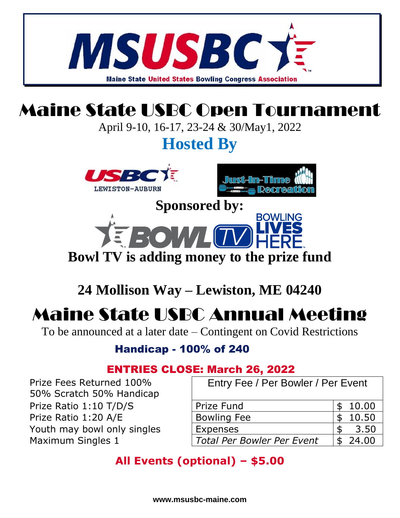

### **24 Mollison Way – Lewiston, ME 04240**

## Maine State USBC Annual Meeting

To be announced at a later date – Contingent on Covid Restrictions

Handicap - 100% of 240

 Prize Fees Returned 100% 50% Scratch 50% Handicap

Youth may bowl only singles

Prize Ratio  $1:10$  T/D/S Prize Ratio 1:20 A/E

**Maximum Singles 1** 

#### ENTRIES CLOSE: March 26, 2022

Entry Fee / Per Bowler / Per Event

| Prize Fund                        | \$10.00 |
|-----------------------------------|---------|
| <b>Bowling Fee</b>                | 10.50   |
| <b>Expenses</b>                   | 3.50    |
| <b>Total Per Bowler Per Event</b> | - 24.00 |
|                                   |         |

### **All Events (optional) – \$5.00**